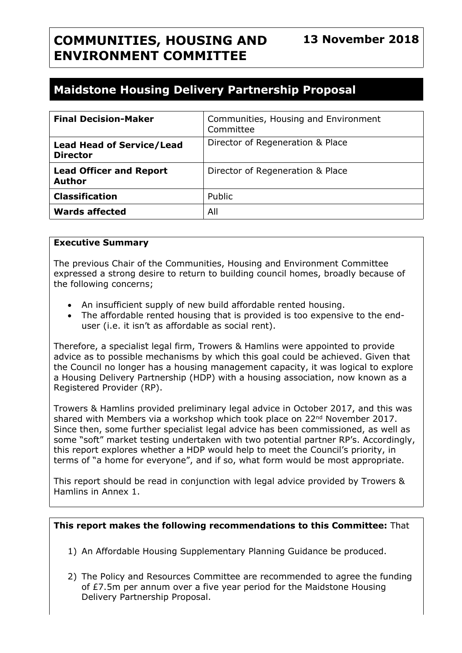# **COMMUNITIES, HOUSING AND ENVIRONMENT COMMITTEE**

# **Maidstone Housing Delivery Partnership Proposal**

| <b>Final Decision-Maker</b>                         | Communities, Housing and Environment<br>Committee |
|-----------------------------------------------------|---------------------------------------------------|
| <b>Lead Head of Service/Lead</b><br><b>Director</b> | Director of Regeneration & Place                  |
| <b>Lead Officer and Report</b><br><b>Author</b>     | Director of Regeneration & Place                  |
| <b>Classification</b>                               | Public                                            |
| <b>Wards affected</b>                               | All                                               |

#### **Executive Summary**

The previous Chair of the Communities, Housing and Environment Committee expressed a strong desire to return to building council homes, broadly because of the following concerns;

- An insufficient supply of new build affordable rented housing.
- The affordable rented housing that is provided is too expensive to the enduser (i.e. it isn't as affordable as social rent).

Therefore, a specialist legal firm, Trowers & Hamlins were appointed to provide advice as to possible mechanisms by which this goal could be achieved. Given that the Council no longer has a housing management capacity, it was logical to explore a Housing Delivery Partnership (HDP) with a housing association, now known as a Registered Provider (RP).

Trowers & Hamlins provided preliminary legal advice in October 2017, and this was shared with Members via a workshop which took place on 22<sup>nd</sup> November 2017. Since then, some further specialist legal advice has been commissioned, as well as some "soft" market testing undertaken with two potential partner RP's. Accordingly, this report explores whether a HDP would help to meet the Council's priority, in terms of "a home for everyone", and if so, what form would be most appropriate.

This report should be read in conjunction with legal advice provided by Trowers & Hamlins in Annex 1.

#### **This report makes the following recommendations to this Committee:** That

- 1) An Affordable Housing Supplementary Planning Guidance be produced.
- 2) The Policy and Resources Committee are recommended to agree the funding of £7.5m per annum over a five year period for the Maidstone Housing Delivery Partnership Proposal.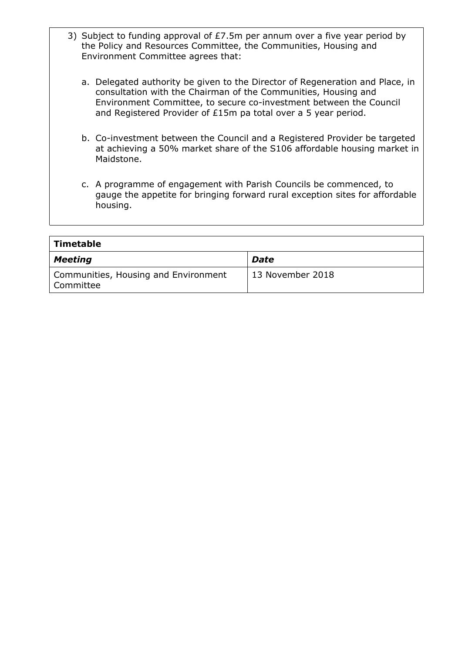- 3) Subject to funding approval of £7.5m per annum over a five year period by the Policy and Resources Committee, the Communities, Housing and Environment Committee agrees that:
	- a. Delegated authority be given to the Director of Regeneration and Place, in consultation with the Chairman of the Communities, Housing and Environment Committee, to secure co-investment between the Council and Registered Provider of £15m pa total over a 5 year period.
	- b. Co-investment between the Council and a Registered Provider be targeted at achieving a 50% market share of the S106 affordable housing market in Maidstone.
	- c. A programme of engagement with Parish Councils be commenced, to gauge the appetite for bringing forward rural exception sites for affordable housing.

| $\mid$ Timetable                                    |                  |
|-----------------------------------------------------|------------------|
| $\vert$ Meeting                                     | <b>Date</b>      |
| Communities, Housing and Environment<br>  Committee | 13 November 2018 |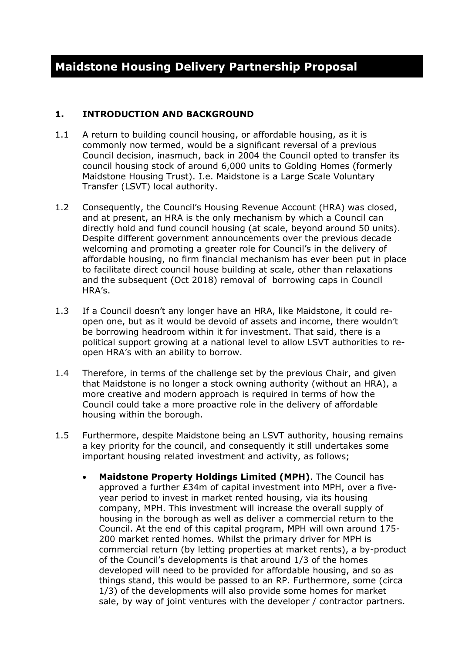#### **1. INTRODUCTION AND BACKGROUND**

- 1.1 A return to building council housing, or affordable housing, as it is commonly now termed, would be a significant reversal of a previous Council decision, inasmuch, back in 2004 the Council opted to transfer its council housing stock of around 6,000 units to Golding Homes (formerly Maidstone Housing Trust). I.e. Maidstone is a Large Scale Voluntary Transfer (LSVT) local authority.
- 1.2 Consequently, the Council's Housing Revenue Account (HRA) was closed, and at present, an HRA is the only mechanism by which a Council can directly hold and fund council housing (at scale, beyond around 50 units). Despite different government announcements over the previous decade welcoming and promoting a greater role for Council's in the delivery of affordable housing, no firm financial mechanism has ever been put in place to facilitate direct council house building at scale, other than relaxations and the subsequent (Oct 2018) removal of borrowing caps in Council HRA's.
- 1.3 If a Council doesn't any longer have an HRA, like Maidstone, it could reopen one, but as it would be devoid of assets and income, there wouldn't be borrowing headroom within it for investment. That said, there is a political support growing at a national level to allow LSVT authorities to reopen HRA's with an ability to borrow.
- 1.4 Therefore, in terms of the challenge set by the previous Chair, and given that Maidstone is no longer a stock owning authority (without an HRA), a more creative and modern approach is required in terms of how the Council could take a more proactive role in the delivery of affordable housing within the borough.
- 1.5 Furthermore, despite Maidstone being an LSVT authority, housing remains a key priority for the council, and consequently it still undertakes some important housing related investment and activity, as follows;
	- **Maidstone Property Holdings Limited (MPH)**. The Council has approved a further £34m of capital investment into MPH, over a fiveyear period to invest in market rented housing, via its housing company, MPH. This investment will increase the overall supply of housing in the borough as well as deliver a commercial return to the Council. At the end of this capital program, MPH will own around 175- 200 market rented homes. Whilst the primary driver for MPH is commercial return (by letting properties at market rents), a by-product of the Council's developments is that around 1/3 of the homes developed will need to be provided for affordable housing, and so as things stand, this would be passed to an RP. Furthermore, some (circa 1/3) of the developments will also provide some homes for market sale, by way of joint ventures with the developer / contractor partners.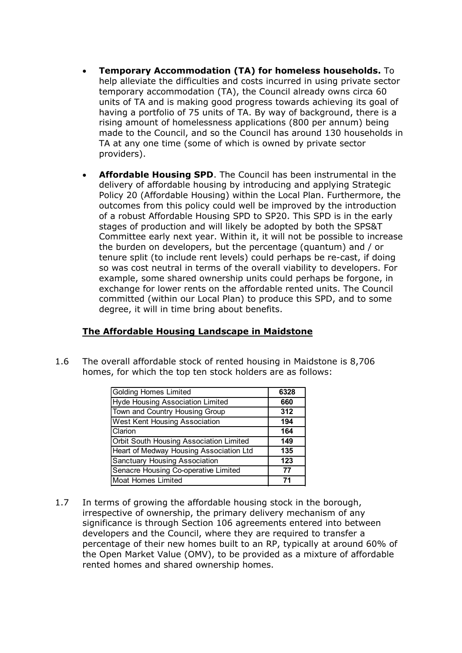- **Temporary Accommodation (TA) for homeless households.** To help alleviate the difficulties and costs incurred in using private sector temporary accommodation (TA), the Council already owns circa 60 units of TA and is making good progress towards achieving its goal of having a portfolio of 75 units of TA. By way of background, there is a rising amount of homelessness applications (800 per annum) being made to the Council, and so the Council has around 130 households in TA at any one time (some of which is owned by private sector providers).
- **Affordable Housing SPD**. The Council has been instrumental in the delivery of affordable housing by introducing and applying Strategic Policy 20 (Affordable Housing) within the Local Plan. Furthermore, the outcomes from this policy could well be improved by the introduction of a robust Affordable Housing SPD to SP20. This SPD is in the early stages of production and will likely be adopted by both the SPS&T Committee early next year. Within it, it will not be possible to increase the burden on developers, but the percentage (quantum) and / or tenure split (to include rent levels) could perhaps be re-cast, if doing so was cost neutral in terms of the overall viability to developers. For example, some shared ownership units could perhaps be forgone, in exchange for lower rents on the affordable rented units. The Council committed (within our Local Plan) to produce this SPD, and to some degree, it will in time bring about benefits.

## **The Affordable Housing Landscape in Maidstone**

1.6 The overall affordable stock of rented housing in Maidstone is 8,706 homes, for which the top ten stock holders are as follows:

| <b>Golding Homes Limited</b>            | 6328 |
|-----------------------------------------|------|
| Hyde Housing Association Limited        | 660  |
| Town and Country Housing Group          | 312  |
| West Kent Housing Association           | 194  |
| Clarion                                 | 164  |
| Orbit South Housing Association Limited | 149  |
| Heart of Medway Housing Association Ltd | 135  |
| <b>Sanctuary Housing Association</b>    | 123  |
| Senacre Housing Co-operative Limited    | 77   |
| <b>Moat Homes Limited</b>               | 71   |

1.7 In terms of growing the affordable housing stock in the borough, irrespective of ownership, the primary delivery mechanism of any significance is through Section 106 agreements entered into between developers and the Council, where they are required to transfer a percentage of their new homes built to an RP, typically at around 60% of the Open Market Value (OMV), to be provided as a mixture of affordable rented homes and shared ownership homes.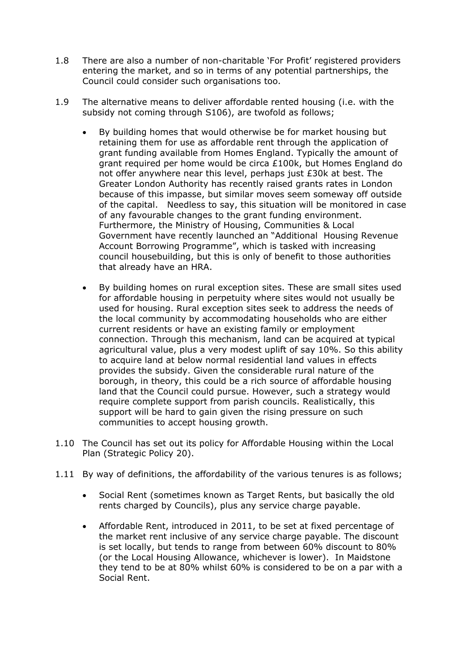- 1.8 There are also a number of non-charitable 'For Profit' registered providers entering the market, and so in terms of any potential partnerships, the Council could consider such organisations too.
- 1.9 The alternative means to deliver affordable rented housing (i.e. with the subsidy not coming through S106), are twofold as follows;
	- By building homes that would otherwise be for market housing but retaining them for use as affordable rent through the application of grant funding available from Homes England. Typically the amount of grant required per home would be circa £100k, but Homes England do not offer anywhere near this level, perhaps just £30k at best. The Greater London Authority has recently raised grants rates in London because of this impasse, but similar moves seem someway off outside of the capital. Needless to say, this situation will be monitored in case of any favourable changes to the grant funding environment. Furthermore, the Ministry of Housing, Communities & Local Government have recently launched an "Additional Housing Revenue Account Borrowing Programme", which is tasked with increasing council housebuilding, but this is only of benefit to those authorities that already have an HRA.
	- By building homes on rural exception sites. These are small sites used for affordable housing in perpetuity where sites would not usually be used for housing. Rural exception sites seek to address the needs of the local community by accommodating households who are either current residents or have an existing family or employment connection. Through this mechanism, land can be acquired at typical agricultural value, plus a very modest uplift of say 10%. So this ability to acquire land at below normal residential land values in effects provides the subsidy. Given the considerable rural nature of the borough, in theory, this could be a rich source of affordable housing land that the Council could pursue. However, such a strategy would require complete support from parish councils. Realistically, this support will be hard to gain given the rising pressure on such communities to accept housing growth.
- 1.10 The Council has set out its policy for Affordable Housing within the Local Plan (Strategic Policy 20).
- 1.11 By way of definitions, the affordability of the various tenures is as follows;
	- Social Rent (sometimes known as Target Rents, but basically the old rents charged by Councils), plus any service charge payable.
	- Affordable Rent, introduced in 2011, to be set at fixed percentage of the market rent inclusive of any service charge payable. The discount is set locally, but tends to range from between 60% discount to 80% (or the Local Housing Allowance, whichever is lower). In Maidstone they tend to be at 80% whilst 60% is considered to be on a par with a Social Rent.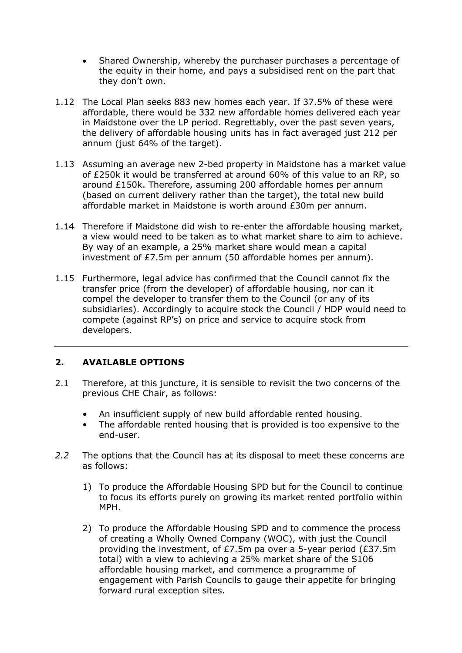- Shared Ownership, whereby the purchaser purchases a percentage of the equity in their home, and pays a subsidised rent on the part that they don't own.
- 1.12 The Local Plan seeks 883 new homes each year. If 37.5% of these were affordable, there would be 332 new affordable homes delivered each year in Maidstone over the LP period. Regrettably, over the past seven years, the delivery of affordable housing units has in fact averaged just 212 per annum (just 64% of the target).
- 1.13 Assuming an average new 2-bed property in Maidstone has a market value of £250k it would be transferred at around 60% of this value to an RP, so around £150k. Therefore, assuming 200 affordable homes per annum (based on current delivery rather than the target), the total new build affordable market in Maidstone is worth around £30m per annum.
- 1.14 Therefore if Maidstone did wish to re-enter the affordable housing market, a view would need to be taken as to what market share to aim to achieve. By way of an example, a 25% market share would mean a capital investment of £7.5m per annum (50 affordable homes per annum).
- 1.15 Furthermore, legal advice has confirmed that the Council cannot fix the transfer price (from the developer) of affordable housing, nor can it compel the developer to transfer them to the Council (or any of its subsidiaries). Accordingly to acquire stock the Council / HDP would need to compete (against RP's) on price and service to acquire stock from developers.

## **2. AVAILABLE OPTIONS**

- 2.1 Therefore, at this juncture, it is sensible to revisit the two concerns of the previous CHE Chair, as follows:
	- An insufficient supply of new build affordable rented housing.
	- The affordable rented housing that is provided is too expensive to the end-user.
- *2.2* The options that the Council has at its disposal to meet these concerns are as follows:
	- 1) To produce the Affordable Housing SPD but for the Council to continue to focus its efforts purely on growing its market rented portfolio within MPH.
	- 2) To produce the Affordable Housing SPD and to commence the process of creating a Wholly Owned Company (WOC), with just the Council providing the investment, of £7.5m pa over a 5-year period (£37.5m total) with a view to achieving a 25% market share of the S106 affordable housing market, and commence a programme of engagement with Parish Councils to gauge their appetite for bringing forward rural exception sites.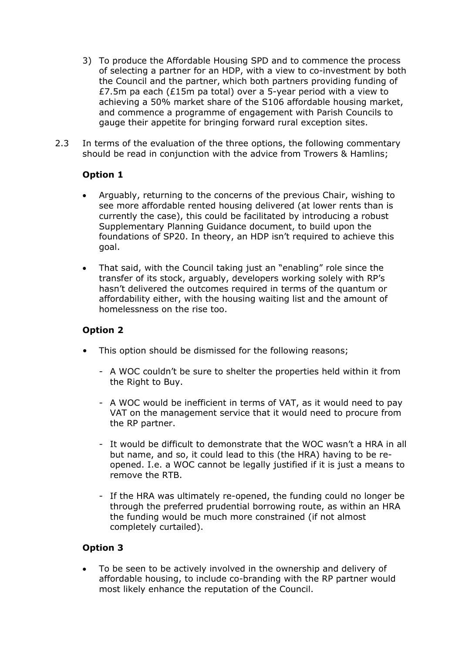- 3) To produce the Affordable Housing SPD and to commence the process of selecting a partner for an HDP, with a view to co-investment by both the Council and the partner, which both partners providing funding of £7.5m pa each (£15m pa total) over a 5-year period with a view to achieving a 50% market share of the S106 affordable housing market, and commence a programme of engagement with Parish Councils to gauge their appetite for bringing forward rural exception sites.
- 2.3 In terms of the evaluation of the three options, the following commentary should be read in conjunction with the advice from Trowers & Hamlins;

## **Option 1**

- Arguably, returning to the concerns of the previous Chair, wishing to see more affordable rented housing delivered (at lower rents than is currently the case), this could be facilitated by introducing a robust Supplementary Planning Guidance document, to build upon the foundations of SP20. In theory, an HDP isn't required to achieve this goal.
- That said, with the Council taking just an "enabling" role since the transfer of its stock, arguably, developers working solely with RP's hasn't delivered the outcomes required in terms of the quantum or affordability either, with the housing waiting list and the amount of homelessness on the rise too.

#### **Option 2**

- This option should be dismissed for the following reasons;
	- A WOC couldn't be sure to shelter the properties held within it from the Right to Buy.
	- A WOC would be inefficient in terms of VAT, as it would need to pay VAT on the management service that it would need to procure from the RP partner.
	- It would be difficult to demonstrate that the WOC wasn't a HRA in all but name, and so, it could lead to this (the HRA) having to be reopened. I.e. a WOC cannot be legally justified if it is just a means to remove the RTB.
	- If the HRA was ultimately re-opened, the funding could no longer be through the preferred prudential borrowing route, as within an HRA the funding would be much more constrained (if not almost completely curtailed).

#### **Option 3**

 To be seen to be actively involved in the ownership and delivery of affordable housing, to include co-branding with the RP partner would most likely enhance the reputation of the Council.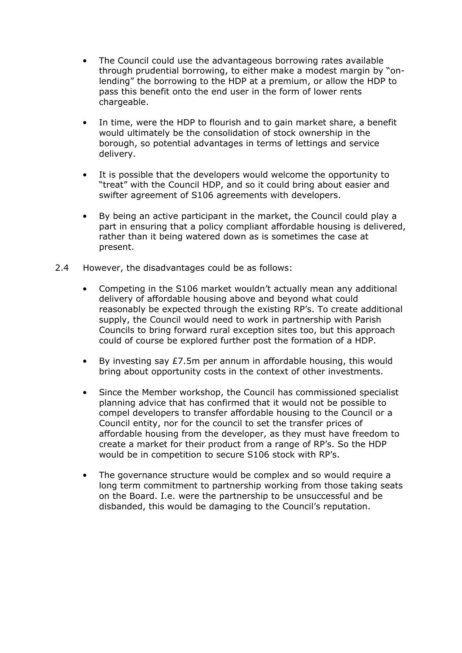- The Council could use the advantageous borrowing rates available through prudential borrowing, to either make a modest margin by "onlending" the borrowing to the HDP at a premium, or allow the HDP to pass this benefit onto the end user in the form of lower rents chargeable.
- In time, were the HDP to flourish and to gain market share, a benefit would ultimately be the consolidation of stock ownership in the borough, so potential advantages in terms of lettings and service delivery.
- It is possible that the developers would welcome the opportunity to "treat" with the Council HDP, and so it could bring about easier and swifter agreement of S106 agreements with developers.
- By being an active participant in the market, the Council could play a part in ensuring that a policy compliant affordable housing is delivered, rather than it being watered down as is sometimes the case at present.
- 2.4 However, the disadvantages could be as follows:
	- Competing in the S106 market wouldn't actually mean any additional delivery of affordable housing above and beyond what could reasonably be expected through the existing RP's. To create additional supply, the Council would need to work in partnership with Parish Councils to bring forward rural exception sites too, but this approach could of course be explored further post the formation of a HDP.
	- By investing say £7.5m per annum in affordable housing, this would bring about opportunity costs in the context of other investments.
	- Since the Member workshop, the Council has commissioned specialist planning advice that has confirmed that it would not be possible to compel developers to transfer affordable housing to the Council or a Council entity, nor for the council to set the transfer prices of affordable housing from the developer, as they must have freedom to create a market for their product from a range of RP's. So the HDP would be in competition to secure S106 stock with RP's.
	- The governance structure would be complex and so would require a long term commitment to partnership working from those taking seats on the Board. I.e. were the partnership to be unsuccessful and be disbanded, this would be damaging to the Council's reputation.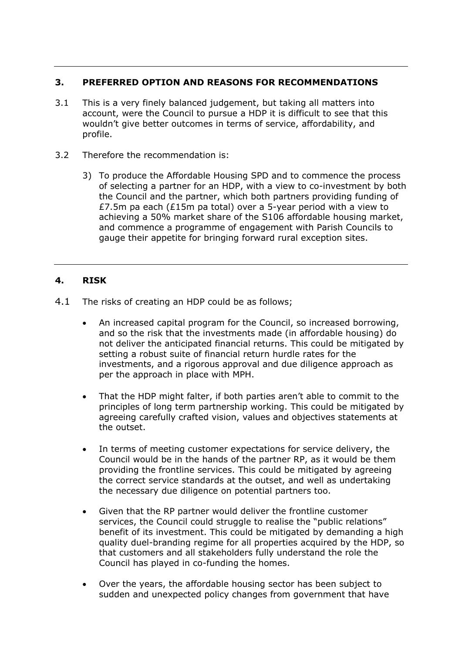#### **3. PREFERRED OPTION AND REASONS FOR RECOMMENDATIONS**

- 3.1 This is a very finely balanced judgement, but taking all matters into account, were the Council to pursue a HDP it is difficult to see that this wouldn't give better outcomes in terms of service, affordability, and profile.
- 3.2 Therefore the recommendation is:
	- 3) To produce the Affordable Housing SPD and to commence the process of selecting a partner for an HDP, with a view to co-investment by both the Council and the partner, which both partners providing funding of £7.5m pa each (£15m pa total) over a 5-year period with a view to achieving a 50% market share of the S106 affordable housing market, and commence a programme of engagement with Parish Councils to gauge their appetite for bringing forward rural exception sites.

#### **4. RISK**

- 4.1 The risks of creating an HDP could be as follows;
	- An increased capital program for the Council, so increased borrowing, and so the risk that the investments made (in affordable housing) do not deliver the anticipated financial returns. This could be mitigated by setting a robust suite of financial return hurdle rates for the investments, and a rigorous approval and due diligence approach as per the approach in place with MPH.
	- That the HDP might falter, if both parties aren't able to commit to the principles of long term partnership working. This could be mitigated by agreeing carefully crafted vision, values and objectives statements at the outset.
	- In terms of meeting customer expectations for service delivery, the Council would be in the hands of the partner RP, as it would be them providing the frontline services. This could be mitigated by agreeing the correct service standards at the outset, and well as undertaking the necessary due diligence on potential partners too.
	- Given that the RP partner would deliver the frontline customer services, the Council could struggle to realise the "public relations" benefit of its investment. This could be mitigated by demanding a high quality duel-branding regime for all properties acquired by the HDP, so that customers and all stakeholders fully understand the role the Council has played in co-funding the homes.
	- Over the years, the affordable housing sector has been subject to sudden and unexpected policy changes from government that have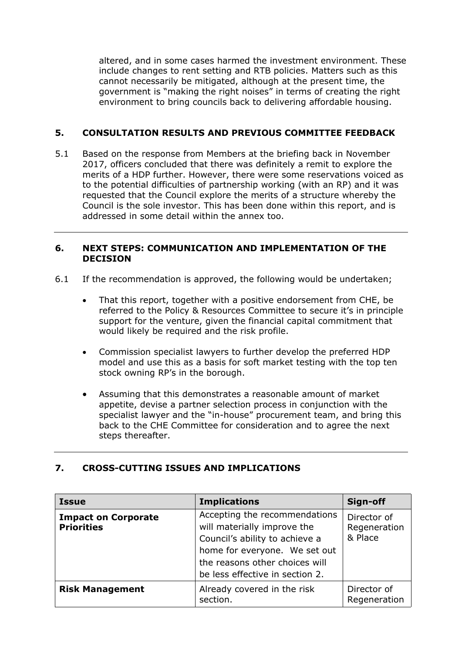altered, and in some cases harmed the investment environment. These include changes to rent setting and RTB policies. Matters such as this cannot necessarily be mitigated, although at the present time, the government is "making the right noises" in terms of creating the right environment to bring councils back to delivering affordable housing.

## **5. CONSULTATION RESULTS AND PREVIOUS COMMITTEE FEEDBACK**

5.1 Based on the response from Members at the briefing back in November 2017, officers concluded that there was definitely a remit to explore the merits of a HDP further. However, there were some reservations voiced as to the potential difficulties of partnership working (with an RP) and it was requested that the Council explore the merits of a structure whereby the Council is the sole investor. This has been done within this report, and is addressed in some detail within the annex too.

#### **6. NEXT STEPS: COMMUNICATION AND IMPLEMENTATION OF THE DECISION**

- 6.1 If the recommendation is approved, the following would be undertaken;
	- That this report, together with a positive endorsement from CHE, be referred to the Policy & Resources Committee to secure it's in principle support for the venture, given the financial capital commitment that would likely be required and the risk profile.
	- Commission specialist lawyers to further develop the preferred HDP model and use this as a basis for soft market testing with the top ten stock owning RP's in the borough.
	- Assuming that this demonstrates a reasonable amount of market appetite, devise a partner selection process in conjunction with the specialist lawyer and the "in-house" procurement team, and bring this back to the CHE Committee for consideration and to agree the next steps thereafter.

## **7. CROSS-CUTTING ISSUES AND IMPLICATIONS**

| <b>Issue</b>                                    | <b>Implications</b>                                                                                                                                                                                  | Sign-off                               |
|-------------------------------------------------|------------------------------------------------------------------------------------------------------------------------------------------------------------------------------------------------------|----------------------------------------|
| <b>Impact on Corporate</b><br><b>Priorities</b> | Accepting the recommendations<br>will materially improve the<br>Council's ability to achieve a<br>home for everyone. We set out<br>the reasons other choices will<br>be less effective in section 2. | Director of<br>Regeneration<br>& Place |
| <b>Risk Management</b>                          | Already covered in the risk<br>section.                                                                                                                                                              | Director of<br>Regeneration            |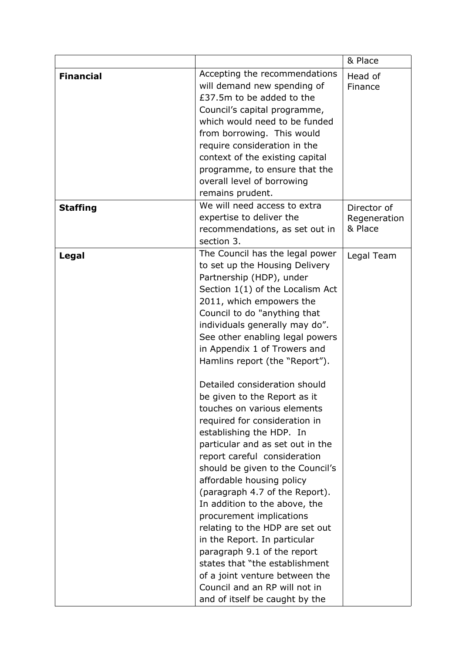|                  |                                                                                                                                                                                                                                                                                                                                                                                                                                                                                                                                                                                                                                                                                                                                                                                                                                                                                                                                                                                | & Place                                |
|------------------|--------------------------------------------------------------------------------------------------------------------------------------------------------------------------------------------------------------------------------------------------------------------------------------------------------------------------------------------------------------------------------------------------------------------------------------------------------------------------------------------------------------------------------------------------------------------------------------------------------------------------------------------------------------------------------------------------------------------------------------------------------------------------------------------------------------------------------------------------------------------------------------------------------------------------------------------------------------------------------|----------------------------------------|
| <b>Financial</b> | Accepting the recommendations<br>will demand new spending of<br>£37.5m to be added to the<br>Council's capital programme,<br>which would need to be funded<br>from borrowing. This would<br>require consideration in the<br>context of the existing capital<br>programme, to ensure that the<br>overall level of borrowing<br>remains prudent.                                                                                                                                                                                                                                                                                                                                                                                                                                                                                                                                                                                                                                 | Head of<br>Finance                     |
| <b>Staffing</b>  | We will need access to extra<br>expertise to deliver the<br>recommendations, as set out in<br>section 3.                                                                                                                                                                                                                                                                                                                                                                                                                                                                                                                                                                                                                                                                                                                                                                                                                                                                       | Director of<br>Regeneration<br>& Place |
| Legal            | The Council has the legal power<br>to set up the Housing Delivery<br>Partnership (HDP), under<br>Section 1(1) of the Localism Act<br>2011, which empowers the<br>Council to do "anything that<br>individuals generally may do".<br>See other enabling legal powers<br>in Appendix 1 of Trowers and<br>Hamlins report (the "Report").<br>Detailed consideration should<br>be given to the Report as it<br>touches on various elements<br>required for consideration in<br>establishing the HDP. In<br>particular and as set out in the<br>report careful consideration<br>should be given to the Council's<br>affordable housing policy<br>(paragraph 4.7 of the Report).<br>In addition to the above, the<br>procurement implications<br>relating to the HDP are set out<br>in the Report. In particular<br>paragraph 9.1 of the report<br>states that "the establishment<br>of a joint venture between the<br>Council and an RP will not in<br>and of itself be caught by the | Legal Team                             |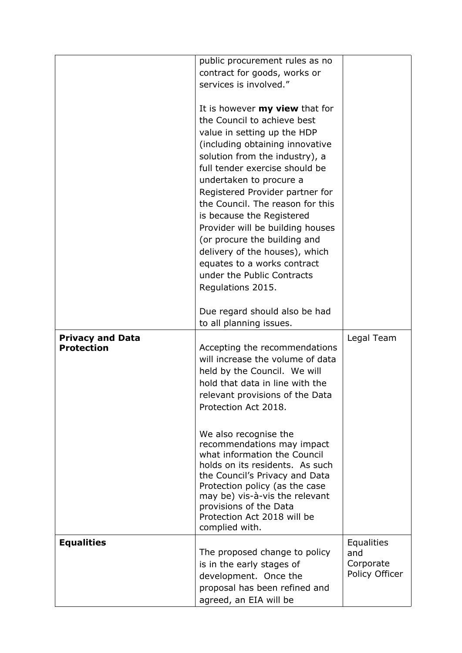|                                              | public procurement rules as no<br>contract for goods, works or<br>services is involved."                                                                                                                                                                                                                                                                                                                                                                                                                                                                           |                                                  |
|----------------------------------------------|--------------------------------------------------------------------------------------------------------------------------------------------------------------------------------------------------------------------------------------------------------------------------------------------------------------------------------------------------------------------------------------------------------------------------------------------------------------------------------------------------------------------------------------------------------------------|--------------------------------------------------|
|                                              | It is however <b>my view</b> that for<br>the Council to achieve best<br>value in setting up the HDP<br>(including obtaining innovative<br>solution from the industry), a<br>full tender exercise should be<br>undertaken to procure a<br>Registered Provider partner for<br>the Council. The reason for this<br>is because the Registered<br>Provider will be building houses<br>(or procure the building and<br>delivery of the houses), which<br>equates to a works contract<br>under the Public Contracts<br>Regulations 2015.<br>Due regard should also be had |                                                  |
| <b>Privacy and Data</b><br><b>Protection</b> | to all planning issues.<br>Accepting the recommendations<br>will increase the volume of data<br>held by the Council. We will<br>hold that data in line with the<br>relevant provisions of the Data<br>Protection Act 2018.<br>We also recognise the<br>recommendations may impact<br>what information the Council<br>holds on its residents. As such<br>the Council's Privacy and Data<br>Protection policy (as the case<br>may be) vis-à-vis the relevant<br>provisions of the Data<br>Protection Act 2018 will be<br>complied with.                              | Legal Team                                       |
| <b>Equalities</b>                            | The proposed change to policy<br>is in the early stages of<br>development. Once the<br>proposal has been refined and<br>agreed, an EIA will be                                                                                                                                                                                                                                                                                                                                                                                                                     | Equalities<br>and<br>Corporate<br>Policy Officer |